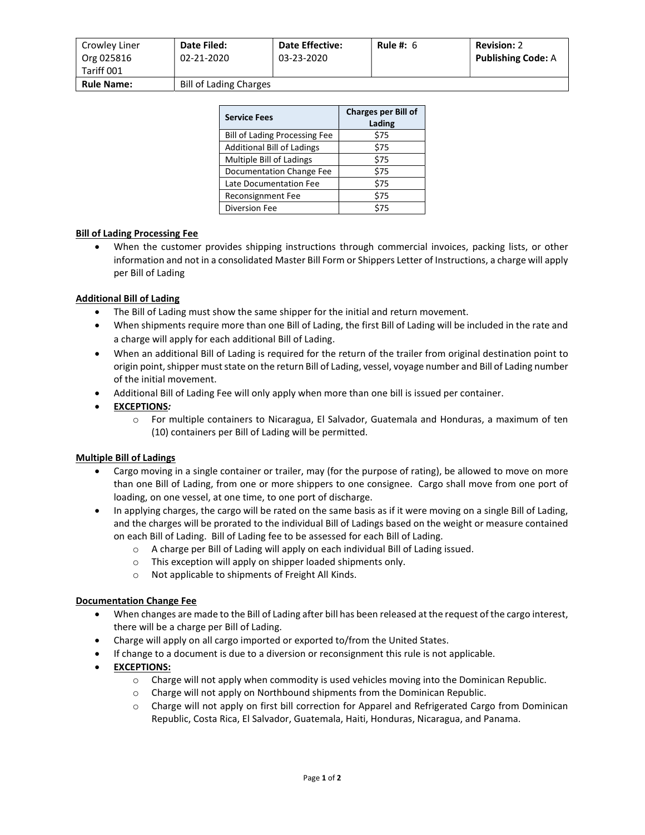| Crowley Liner<br>Org 025816<br>Tariff 001 | Date Filed:<br>02-21-2020     | <b>Date Effective:</b><br>03-23-2020 | Rule #: $6$ | <b>Revision: 2</b><br><b>Publishing Code: A</b> |
|-------------------------------------------|-------------------------------|--------------------------------------|-------------|-------------------------------------------------|
| <b>Rule Name:</b>                         | <b>Bill of Lading Charges</b> |                                      |             |                                                 |

| <b>Service Fees</b>                  | <b>Charges per Bill of</b><br>Lading |  |
|--------------------------------------|--------------------------------------|--|
| <b>Bill of Lading Processing Fee</b> | \$75                                 |  |
| <b>Additional Bill of Ladings</b>    | \$75                                 |  |
| <b>Multiple Bill of Ladings</b>      | \$75                                 |  |
| Documentation Change Fee             | \$75                                 |  |
| Late Documentation Fee               | \$75                                 |  |
| Reconsignment Fee                    | \$75                                 |  |
| Diversion Fee                        | \$75                                 |  |

#### Bill of Lading Processing Fee

 When the customer provides shipping instructions through commercial invoices, packing lists, or other information and not in a consolidated Master Bill Form or Shippers Letter of Instructions, a charge will apply per Bill of Lading

#### Additional Bill of Lading

- The Bill of Lading must show the same shipper for the initial and return movement.
- When shipments require more than one Bill of Lading, the first Bill of Lading will be included in the rate and a charge will apply for each additional Bill of Lading.
- When an additional Bill of Lading is required for the return of the trailer from original destination point to origin point, shipper must state on the return Bill of Lading, vessel, voyage number and Bill of Lading number of the initial movement.
- Additional Bill of Lading Fee will only apply when more than one bill is issued per container.

### EXCEPTIONS:

o For multiple containers to Nicaragua, El Salvador, Guatemala and Honduras, a maximum of ten (10) containers per Bill of Lading will be permitted.

#### Multiple Bill of Ladings

- Cargo moving in a single container or trailer, may (for the purpose of rating), be allowed to move on more than one Bill of Lading, from one or more shippers to one consignee. Cargo shall move from one port of loading, on one vessel, at one time, to one port of discharge.
- In applying charges, the cargo will be rated on the same basis as if it were moving on a single Bill of Lading, and the charges will be prorated to the individual Bill of Ladings based on the weight or measure contained on each Bill of Lading. Bill of Lading fee to be assessed for each Bill of Lading.
	- o A charge per Bill of Lading will apply on each individual Bill of Lading issued.
	- o This exception will apply on shipper loaded shipments only.
	- o Not applicable to shipments of Freight All Kinds.

#### Documentation Change Fee

- When changes are made to the Bill of Lading after bill has been released at the request of the cargo interest, there will be a charge per Bill of Lading.
- Charge will apply on all cargo imported or exported to/from the United States.
- If change to a document is due to a diversion or reconsignment this rule is not applicable.
- **•** EXCEPTIONS:
	- $\circ$  Charge will not apply when commodity is used vehicles moving into the Dominican Republic.
	- o Charge will not apply on Northbound shipments from the Dominican Republic.
	- o Charge will not apply on first bill correction for Apparel and Refrigerated Cargo from Dominican Republic, Costa Rica, El Salvador, Guatemala, Haiti, Honduras, Nicaragua, and Panama.